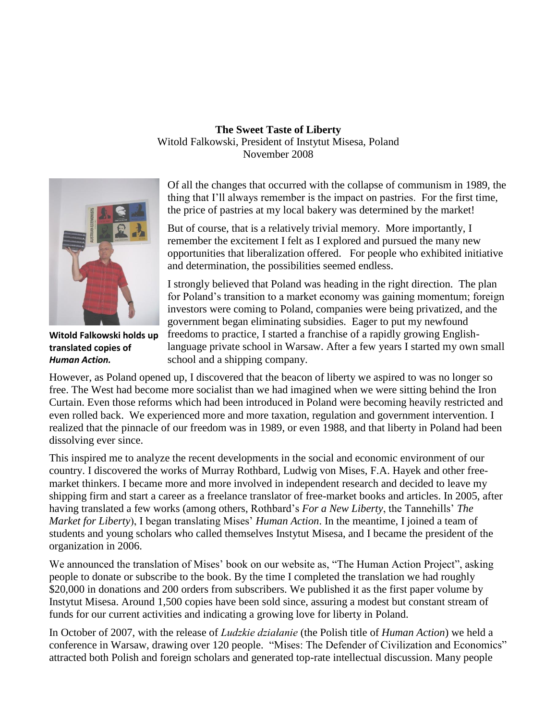## **The Sweet Taste of Liberty** Witold Falkowski, President of Instytut Misesa, Poland November 2008



**Witold Falkowski holds up translated copies of**  *Human Action.*

Of all the changes that occurred with the collapse of communism in 1989, the thing that I'll always remember is the impact on pastries. For the first time, the price of pastries at my local bakery was determined by the market!

But of course, that is a relatively trivial memory. More importantly, I remember the excitement I felt as I explored and pursued the many new opportunities that liberalization offered. For people who exhibited initiative and determination, the possibilities seemed endless.

I strongly believed that Poland was heading in the right direction. The plan for Poland's transition to a market economy was gaining momentum; foreign investors were coming to Poland, companies were being privatized, and the government began eliminating subsidies. Eager to put my newfound freedoms to practice, I started a franchise of a rapidly growing Englishlanguage private school in Warsaw. After a few years I started my own small school and a shipping company.

However, as Poland opened up, I discovered that the beacon of liberty we aspired to was no longer so free. The West had become more socialist than we had imagined when we were sitting behind the Iron Curtain. Even those reforms which had been introduced in Poland were becoming heavily restricted and even rolled back. We experienced more and more taxation, regulation and government intervention. I realized that the pinnacle of our freedom was in 1989, or even 1988, and that liberty in Poland had been dissolving ever since.

This inspired me to analyze the recent developments in the social and economic environment of our country. I discovered the works of Murray Rothbard, Ludwig von Mises, F.A. Hayek and other freemarket thinkers. I became more and more involved in independent research and decided to leave my shipping firm and start a career as a freelance translator of free-market books and articles. In 2005, after having translated a few works (among others, Rothbard's *For a New Liberty*, the Tannehills' *The Market for Liberty*), I began translating Mises' *Human Action*. In the meantime, I joined a team of students and young scholars who called themselves Instytut Misesa, and I became the president of the organization in 2006.

We announced the translation of Mises' book on our website as, "The Human Action Project", asking people to donate or subscribe to the book. By the time I completed the translation we had roughly \$20,000 in donations and 200 orders from subscribers. We published it as the first paper volume by Instytut Misesa. Around 1,500 copies have been sold since, assuring a modest but constant stream of funds for our current activities and indicating a growing love for liberty in Poland.

In October of 2007, with the release of *Ludzkie działanie* (the Polish title of *Human Action*) we held a conference in Warsaw, drawing over 120 people. "Mises: The Defender of Civilization and Economics" attracted both Polish and foreign scholars and generated top-rate intellectual discussion. Many people